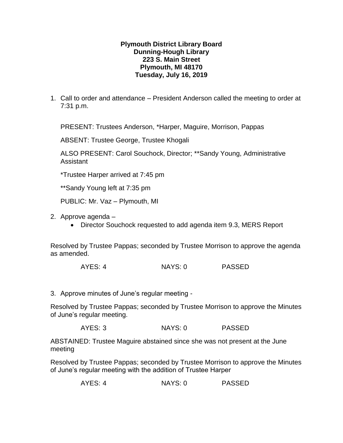## **Plymouth District Library Board Dunning-Hough Library 223 S. Main Street Plymouth, MI 48170 Tuesday, July 16, 2019**

1. Call to order and attendance – President Anderson called the meeting to order at 7:31 p.m.

PRESENT: Trustees Anderson, \*Harper, Maguire, Morrison, Pappas

ABSENT: Trustee George, Trustee Khogali

ALSO PRESENT: Carol Souchock, Director; \*\*Sandy Young, Administrative Assistant

\*Trustee Harper arrived at 7:45 pm

\*\*Sandy Young left at 7:35 pm

PUBLIC: Mr. Vaz – Plymouth, MI

2. Approve agenda –

• Director Souchock requested to add agenda item 9.3, MERS Report

Resolved by Trustee Pappas; seconded by Trustee Morrison to approve the agenda as amended.

AYES: 4 NAYS: 0 PASSED

3. Approve minutes of June's regular meeting -

Resolved by Trustee Pappas; seconded by Trustee Morrison to approve the Minutes of June's regular meeting.

AYES: 3 NAYS: 0 PASSED

ABSTAINED: Trustee Maguire abstained since she was not present at the June meeting

Resolved by Trustee Pappas; seconded by Trustee Morrison to approve the Minutes of June's regular meeting with the addition of Trustee Harper

AYES: 4 NAYS: 0 PASSED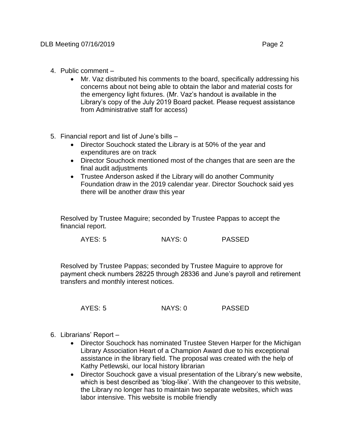- 4. Public comment
	- Mr. Vaz distributed his comments to the board, specifically addressing his concerns about not being able to obtain the labor and material costs for the emergency light fixtures. (Mr. Vaz's handout is available in the Library's copy of the July 2019 Board packet. Please request assistance from Administrative staff for access)
- 5. Financial report and list of June's bills
	- Director Souchock stated the Library is at 50% of the year and expenditures are on track
	- Director Souchock mentioned most of the changes that are seen are the final audit adjustments
	- Trustee Anderson asked if the Library will do another Community Foundation draw in the 2019 calendar year. Director Souchock said yes there will be another draw this year

Resolved by Trustee Maguire; seconded by Trustee Pappas to accept the financial report.

AYES: 5 NAYS: 0 PASSED

Resolved by Trustee Pappas; seconded by Trustee Maguire to approve for payment check numbers 28225 through 28336 and June's payroll and retirement transfers and monthly interest notices.

AYES: 5 NAYS: 0 PASSED

- 6. Librarians' Report
	- Director Souchock has nominated Trustee Steven Harper for the Michigan Library Association Heart of a Champion Award due to his exceptional assistance in the library field. The proposal was created with the help of Kathy Petlewski, our local history librarian
	- Director Souchock gave a visual presentation of the Library's new website, which is best described as 'blog-like'. With the changeover to this website, the Library no longer has to maintain two separate websites, which was labor intensive. This website is mobile friendly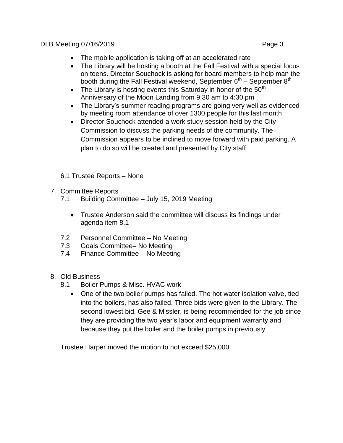- The mobile application is taking off at an accelerated rate
- The Library will be hosting a booth at the Fall Festival with a special focus on teens. Director Souchock is asking for board members to help man the booth during the Fall Festival weekend, September 6<sup>th</sup> – September 8<sup>th</sup>
- The Library is hosting events this Saturday in honor of the  $50<sup>th</sup>$ Anniversary of the Moon Landing from 9:30 am to 4:30 pm
- The Library's summer reading programs are going very well as evidenced by meeting room attendance of over 1300 people for this last month
- Director Souchock attended a work study session held by the City Commission to discuss the parking needs of the community. The Commission appears to be inclined to move forward with paid parking. A plan to do so will be created and presented by City staff
- 6.1 Trustee Reports None
- 7. Committee Reports
	- 7.1 Building Committee July 15, 2019 Meeting
		- Trustee Anderson said the committee will discuss its findings under agenda item 8.1
	- 7.2 Personnel Committee No Meeting
	- 7.3 Goals Committee– No Meeting
	- 7.4 Finance Committee No Meeting
- 8. Old Business
	- 8.1 Boiler Pumps & Misc. HVAC work
		- One of the two boiler pumps has failed. The hot water isolation valve, tied into the boilers, has also failed. Three bids were given to the Library. The second lowest bid, Gee & Missler, is being recommended for the job since they are providing the two year's labor and equipment warranty and because they put the boiler and the boiler pumps in previously

Trustee Harper moved the motion to not exceed \$25,000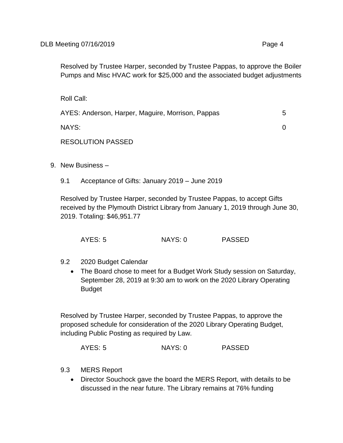Resolved by Trustee Harper, seconded by Trustee Pappas, to approve the Boiler Pumps and Misc HVAC work for \$25,000 and the associated budget adjustments

Roll Call:

| AYES: Anderson, Harper, Maguire, Morrison, Pappas | .h |
|---------------------------------------------------|----|
| NAYS:                                             |    |
| <b>RESOLUTION PASSED</b>                          |    |

- 9. New Business
	- 9.1 Acceptance of Gifts: January 2019 June 2019

Resolved by Trustee Harper, seconded by Trustee Pappas, to accept Gifts received by the Plymouth District Library from January 1, 2019 through June 30, 2019. Totaling: \$46,951.77

AYES: 5 NAYS: 0 PASSED

- 9.2 2020 Budget Calendar
	- The Board chose to meet for a Budget Work Study session on Saturday, September 28, 2019 at 9:30 am to work on the 2020 Library Operating Budget

Resolved by Trustee Harper, seconded by Trustee Pappas, to approve the proposed schedule for consideration of the 2020 Library Operating Budget, including Public Posting as required by Law.

AYES: 5 NAYS: 0 PASSED

- 9.3 MERS Report
	- Director Souchock gave the board the MERS Report, with details to be discussed in the near future. The Library remains at 76% funding